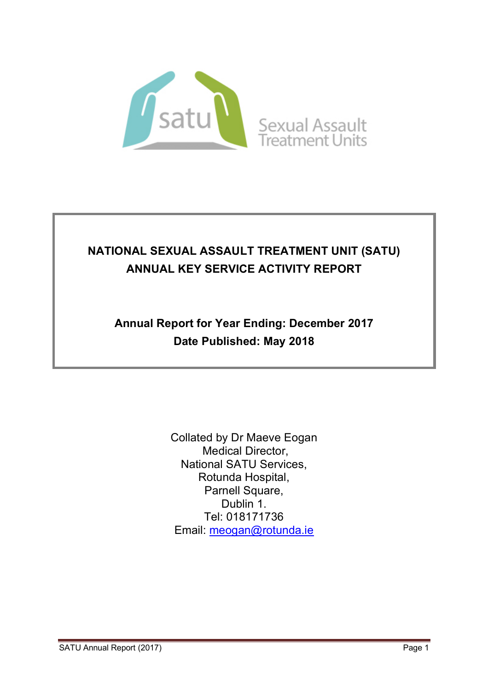

# **NATIONAL SEXUAL ASSAULT TREATMENT UNIT (SATU) ANNUAL KEY SERVICE ACTIVITY REPORT**

# **Annual Report for Year Ending: December 2017 Date Published: May 2018**

Collated by Dr Maeve Eogan Medical Director, National SATU Services, Rotunda Hospital, Parnell Square, Dublin 1. Tel: 018171736 Email: meogan@rotunda.ie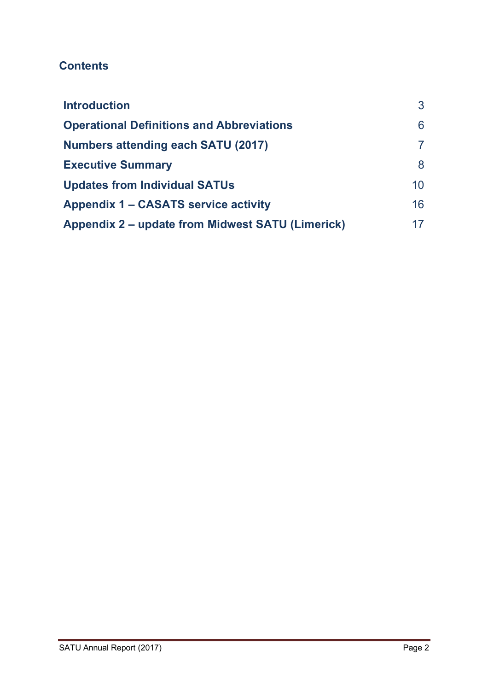## **Contents**

| <b>Introduction</b>                              | 3  |
|--------------------------------------------------|----|
| <b>Operational Definitions and Abbreviations</b> | 6  |
| <b>Numbers attending each SATU (2017)</b>        |    |
| <b>Executive Summary</b>                         | 8  |
| <b>Updates from Individual SATUs</b>             | 10 |
| Appendix 1 – CASATS service activity             | 16 |
| Appendix 2 – update from Midwest SATU (Limerick) | 17 |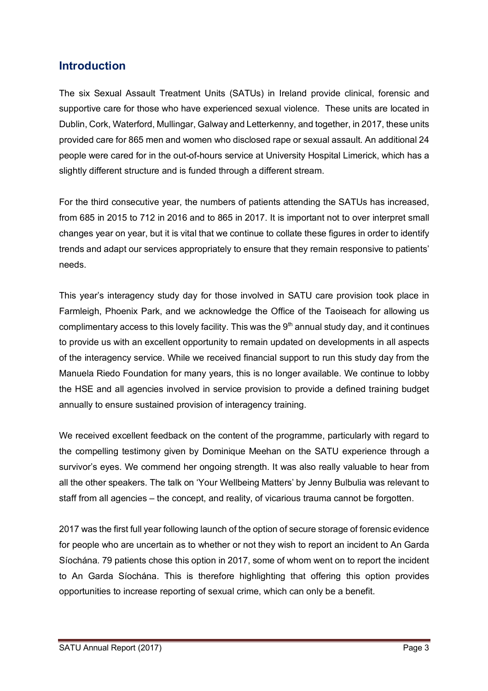## **Introduction**

The six Sexual Assault Treatment Units (SATUs) in Ireland provide clinical, forensic and supportive care for those who have experienced sexual violence. These units are located in Dublin, Cork, Waterford, Mullingar, Galway and Letterkenny, and together, in 2017, these units provided care for 865 men and women who disclosed rape or sexual assault. An additional 24 people were cared for in the out-of-hours service at University Hospital Limerick, which has a slightly different structure and is funded through a different stream.

For the third consecutive year, the numbers of patients attending the SATUs has increased, from 685 in 2015 to 712 in 2016 and to 865 in 2017. It is important not to over interpret small changes year on year, but it is vital that we continue to collate these figures in order to identify trends and adapt our services appropriately to ensure that they remain responsive to patients' needs.

This year's interagency study day for those involved in SATU care provision took place in Farmleigh, Phoenix Park, and we acknowledge the Office of the Taoiseach for allowing us complimentary access to this lovely facility. This was the  $9<sup>th</sup>$  annual study day, and it continues to provide us with an excellent opportunity to remain updated on developments in all aspects of the interagency service. While we received financial support to run this study day from the Manuela Riedo Foundation for many years, this is no longer available. We continue to lobby the HSE and all agencies involved in service provision to provide a defined training budget annually to ensure sustained provision of interagency training.

We received excellent feedback on the content of the programme, particularly with regard to the compelling testimony given by Dominique Meehan on the SATU experience through a survivor's eyes. We commend her ongoing strength. It was also really valuable to hear from all the other speakers. The talk on 'Your Wellbeing Matters' by Jenny Bulbulia was relevant to staff from all agencies – the concept, and reality, of vicarious trauma cannot be forgotten.

2017 was the first full year following launch of the option of secure storage of forensic evidence for people who are uncertain as to whether or not they wish to report an incident to An Garda Síochána. 79 patients chose this option in 2017, some of whom went on to report the incident to An Garda Síochána. This is therefore highlighting that offering this option provides opportunities to increase reporting of sexual crime, which can only be a benefit.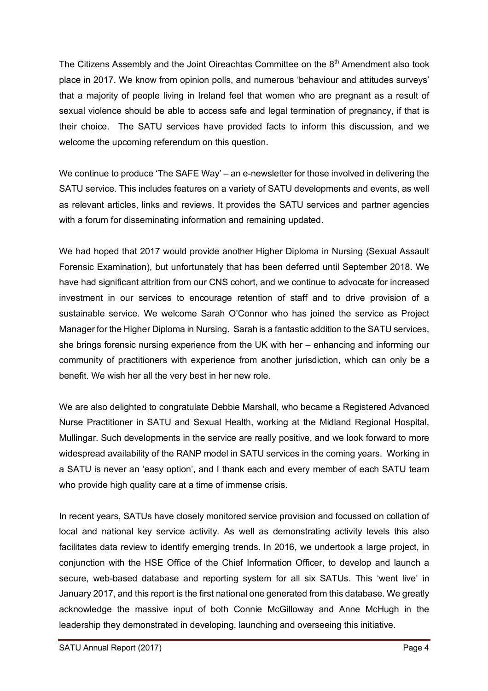The Citizens Assembly and the Joint Oireachtas Committee on the  $8<sup>th</sup>$  Amendment also took place in 2017. We know from opinion polls, and numerous 'behaviour and attitudes surveys' that a majority of people living in Ireland feel that women who are pregnant as a result of sexual violence should be able to access safe and legal termination of pregnancy, if that is their choice. The SATU services have provided facts to inform this discussion, and we welcome the upcoming referendum on this question.

We continue to produce 'The SAFE Way' – an e-newsletter for those involved in delivering the SATU service. This includes features on a variety of SATU developments and events, as well as relevant articles, links and reviews. It provides the SATU services and partner agencies with a forum for disseminating information and remaining updated.

We had hoped that 2017 would provide another Higher Diploma in Nursing (Sexual Assault Forensic Examination), but unfortunately that has been deferred until September 2018. We have had significant attrition from our CNS cohort, and we continue to advocate for increased investment in our services to encourage retention of staff and to drive provision of a sustainable service. We welcome Sarah O'Connor who has joined the service as Project Manager for the Higher Diploma in Nursing. Sarah is a fantastic addition to the SATU services, she brings forensic nursing experience from the UK with her – enhancing and informing our community of practitioners with experience from another jurisdiction, which can only be a benefit. We wish her all the very best in her new role.

We are also delighted to congratulate Debbie Marshall, who became a Registered Advanced Nurse Practitioner in SATU and Sexual Health, working at the Midland Regional Hospital, Mullingar. Such developments in the service are really positive, and we look forward to more widespread availability of the RANP model in SATU services in the coming years. Working in a SATU is never an 'easy option', and I thank each and every member of each SATU team who provide high quality care at a time of immense crisis.

In recent years, SATUs have closely monitored service provision and focussed on collation of local and national key service activity. As well as demonstrating activity levels this also facilitates data review to identify emerging trends. In 2016, we undertook a large project, in conjunction with the HSE Office of the Chief Information Officer, to develop and launch a secure, web-based database and reporting system for all six SATUs. This 'went live' in January 2017, and this report is the first national one generated from this database. We greatly acknowledge the massive input of both Connie McGilloway and Anne McHugh in the leadership they demonstrated in developing, launching and overseeing this initiative.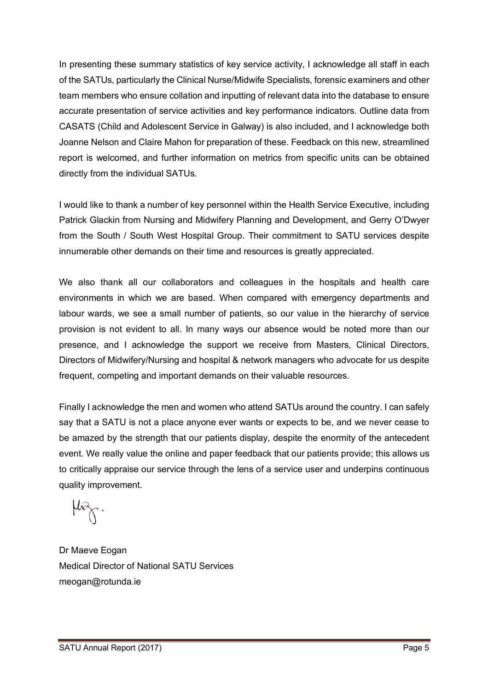In presenting these summary statistics of key service activity, I acknowledge all staff in each of the SATUs, particularly the Clinical Nurse/Midwife Specialists, forensic examiners and other team members who ensure collation and inputting of relevant data into the database to ensure accurate presentation of service activities and key performance indicators. Outline data from CASATS (Child and Adolescent Service in Galway) is also included, and I acknowledge both Joanne Nelson and Claire Mahon for preparation of these. Feedback on this new, streamlined report is welcomed, and further information on metrics from specific units can be obtained directly from the individual SATUs.

I would like to thank a number of key personnel within the Health Service Executive, including Patrick Glackin from Nursing and Midwifery Planning and Development, and Gerry O'Dwyer from the South / South West Hospital Group. Their commitment to SATU services despite innumerable other demands on their time and resources is greatly appreciated.

We also thank all our collaborators and colleagues in the hospitals and health care environments in which we are based. When compared with emergency departments and labour wards, we see a small number of patients, so our value in the hierarchy of service provision is not evident to all. In many ways our absence would be noted more than our presence, and I acknowledge the support we receive from Masters, Clinical Directors, Directors of Midwifery/Nursing and hospital & network managers who advocate for us despite frequent, competing and important demands on their valuable resources.

Finally I acknowledge the men and women who attend SATUs around the country. I can safely say that a SATU is not a place anyone ever wants or expects to be, and we never cease to be amazed by the strength that our patients display, despite the enormity of the antecedent event. We really value the online and paper feedback that our patients provide; this allows us to critically appraise our service through the lens of a service user and underpins continuous quality improvement.

Dr Maeve Eogan Medical Director of National SATU Services meogan@rotunda.ie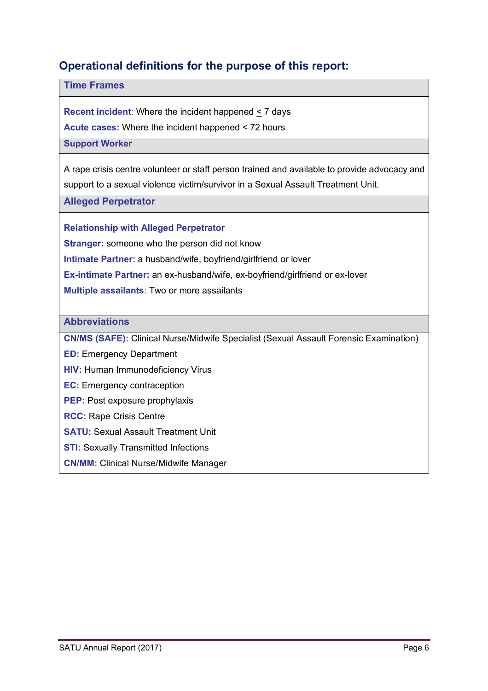## **Operational definitions for the purpose of this report:**

#### **Time Frames**

**Recent incident**: Where the incident happened < 7 days

**Acute cases:** Where the incident happened < 72 hours

#### **Support Worker**

A rape crisis centre volunteer or staff person trained and available to provide advocacy and support to a sexual violence victim/survivor in a Sexual Assault Treatment Unit.

**Alleged Perpetrator**

**Relationship with Alleged Perpetrator**

**Stranger:** someone who the person did not know

**Intimate Partner:** a husband/wife, boyfriend/girlfriend or lover

**Ex-intimate Partner:** an ex-husband/wife, ex-boyfriend/girlfriend or ex-lover

**Multiple assailants**: Two or more assailants

#### **Abbreviations**

**CN/MS (SAFE):** Clinical Nurse/Midwife Specialist (Sexual Assault Forensic Examination)

**ED:** Emergency Department

- **HIV:** Human Immunodeficiency Virus
- **EC:** Emergency contraception
- **PEP:** Post exposure prophylaxis
- **RCC:** Rape Crisis Centre
- **SATU: Sexual Assault Treatment Unit**
- **STI:** Sexually Transmitted Infections
- **CN/MM:** Clinical Nurse/Midwife Manager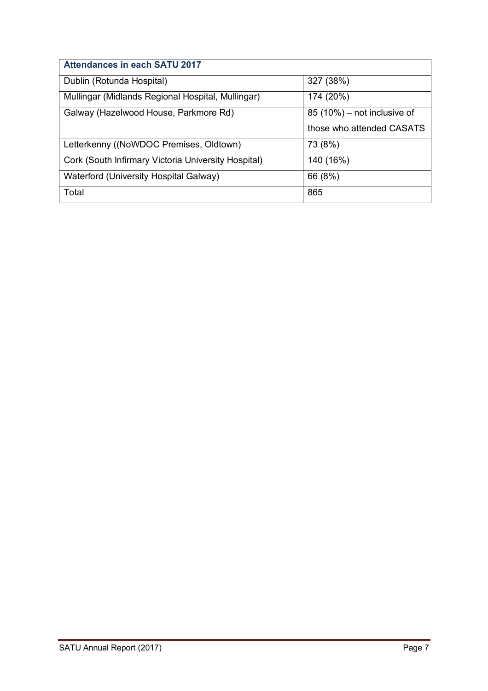| <b>Attendances in each SATU 2017</b>                |                              |
|-----------------------------------------------------|------------------------------|
| Dublin (Rotunda Hospital)                           | 327 (38%)                    |
| Mullingar (Midlands Regional Hospital, Mullingar)   | 174 (20%)                    |
| Galway (Hazelwood House, Parkmore Rd)               | $85(10%)$ – not inclusive of |
|                                                     | those who attended CASATS    |
| Letterkenny ((NoWDOC Premises, Oldtown)             | 73 (8%)                      |
| Cork (South Infirmary Victoria University Hospital) | 140 (16%)                    |
| Waterford (University Hospital Galway)              | 66 (8%)                      |
| Total                                               | 865                          |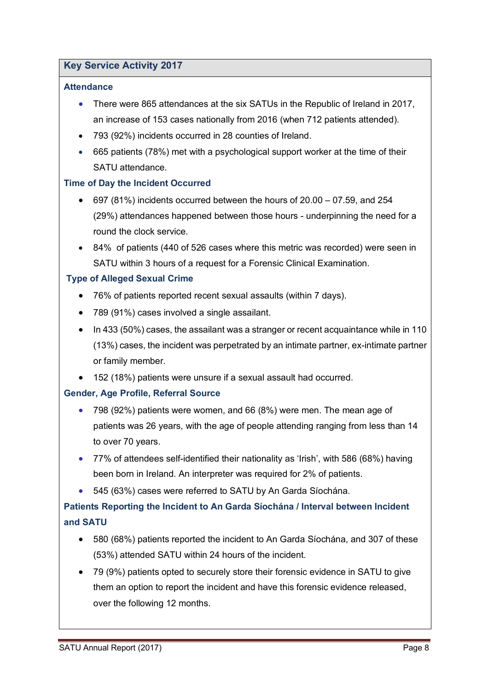#### **Key Service Activity 2017**

#### **Attendance**

- There were 865 attendances at the six SATUs in the Republic of Ireland in 2017, an increase of 153 cases nationally from 2016 (when 712 patients attended).
- 793 (92%) incidents occurred in 28 counties of Ireland.
- 665 patients (78%) met with a psychological support worker at the time of their SATU attendance.

#### **Time of Day the Incident Occurred**

- $\bullet$  697 (81%) incidents occurred between the hours of 20.00 07.59, and 254 (29%) attendances happened between those hours - underpinning the need for a round the clock service.
- 84% of patients (440 of 526 cases where this metric was recorded) were seen in SATU within 3 hours of a request for a Forensic Clinical Examination.

#### **Type of Alleged Sexual Crime**

- 76% of patients reported recent sexual assaults (within 7 days).
- 789 (91%) cases involved a single assailant.
- In 433 (50%) cases, the assailant was a stranger or recent acquaintance while in 110 (13%) cases, the incident was perpetrated by an intimate partner, ex-intimate partner or family member.
- 152 (18%) patients were unsure if a sexual assault had occurred.

#### **Gender, Age Profile, Referral Source**

- 798 (92%) patients were women, and 66 (8%) were men. The mean age of patients was 26 years, with the age of people attending ranging from less than 14 to over 70 years.
- 77% of attendees self-identified their nationality as 'Irish', with 586 (68%) having been born in Ireland. An interpreter was required for 2% of patients.
- 545 (63%) cases were referred to SATU by An Garda Síochána.

### **Patients Reporting the Incident to An Garda Síochána / Interval between Incident and SATU**

- 580 (68%) patients reported the incident to An Garda Síochána, and 307 of these (53%) attended SATU within 24 hours of the incident.
- 79 (9%) patients opted to securely store their forensic evidence in SATU to give them an option to report the incident and have this forensic evidence released, over the following 12 months.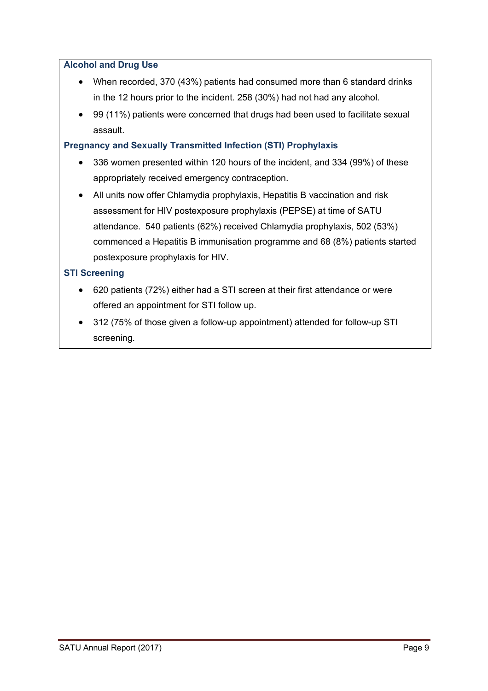#### **Alcohol and Drug Use**

- When recorded, 370 (43%) patients had consumed more than 6 standard drinks in the 12 hours prior to the incident. 258 (30%) had not had any alcohol.
- 99 (11%) patients were concerned that drugs had been used to facilitate sexual assault.

#### **Pregnancy and Sexually Transmitted Infection (STI) Prophylaxis**

- 336 women presented within 120 hours of the incident, and 334 (99%) of these appropriately received emergency contraception.
- All units now offer Chlamydia prophylaxis, Hepatitis B vaccination and risk assessment for HIV postexposure prophylaxis (PEPSE) at time of SATU attendance. 540 patients (62%) received Chlamydia prophylaxis, 502 (53%) commenced a Hepatitis B immunisation programme and 68 (8%) patients started postexposure prophylaxis for HIV.

#### **STI Screening**

- 620 patients (72%) either had a STI screen at their first attendance or were offered an appointment for STI follow up.
- 312 (75% of those given a follow-up appointment) attended for follow-up STI screening.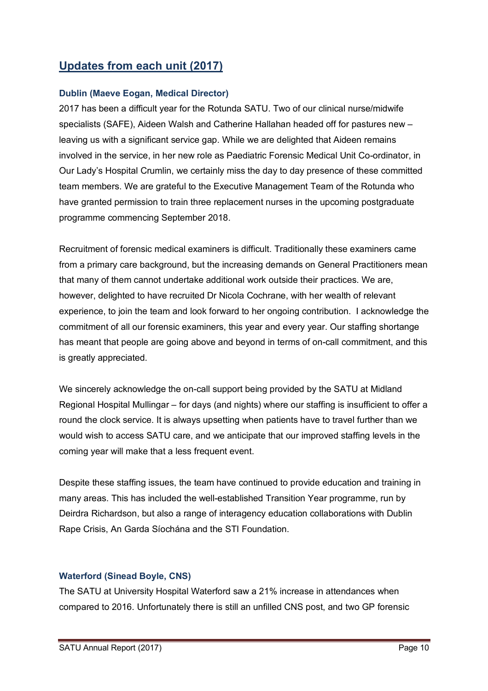## **Updates from each unit (2017)**

#### **Dublin (Maeve Eogan, Medical Director)**

2017 has been a difficult year for the Rotunda SATU. Two of our clinical nurse/midwife specialists (SAFE), Aideen Walsh and Catherine Hallahan headed off for pastures new – leaving us with a significant service gap. While we are delighted that Aideen remains involved in the service, in her new role as Paediatric Forensic Medical Unit Co-ordinator, in Our Lady's Hospital Crumlin, we certainly miss the day to day presence of these committed team members. We are grateful to the Executive Management Team of the Rotunda who have granted permission to train three replacement nurses in the upcoming postgraduate programme commencing September 2018.

Recruitment of forensic medical examiners is difficult. Traditionally these examiners came from a primary care background, but the increasing demands on General Practitioners mean that many of them cannot undertake additional work outside their practices. We are, however, delighted to have recruited Dr Nicola Cochrane, with her wealth of relevant experience, to join the team and look forward to her ongoing contribution. I acknowledge the commitment of all our forensic examiners, this year and every year. Our staffing shortange has meant that people are going above and beyond in terms of on-call commitment, and this is greatly appreciated.

We sincerely acknowledge the on-call support being provided by the SATU at Midland Regional Hospital Mullingar – for days (and nights) where our staffing is insufficient to offer a round the clock service. It is always upsetting when patients have to travel further than we would wish to access SATU care, and we anticipate that our improved staffing levels in the coming year will make that a less frequent event.

Despite these staffing issues, the team have continued to provide education and training in many areas. This has included the well-established Transition Year programme, run by Deirdra Richardson, but also a range of interagency education collaborations with Dublin Rape Crisis, An Garda Síochána and the STI Foundation.

#### **Waterford (Sinead Boyle, CNS)**

The SATU at University Hospital Waterford saw a 21% increase in attendances when compared to 2016. Unfortunately there is still an unfilled CNS post, and two GP forensic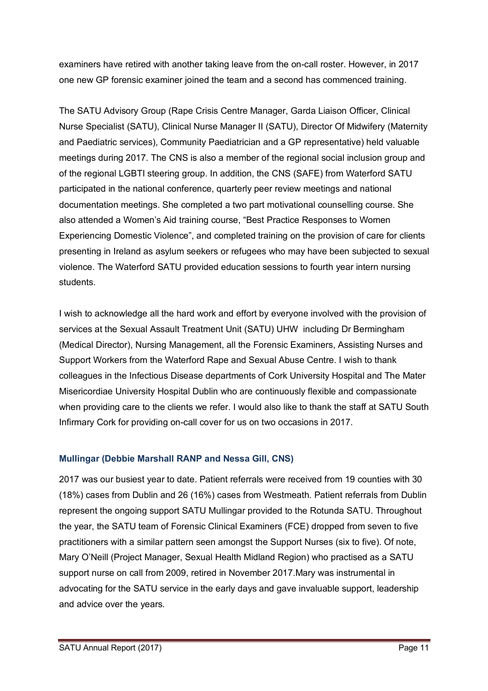examiners have retired with another taking leave from the on-call roster. However, in 2017 one new GP forensic examiner joined the team and a second has commenced training.

The SATU Advisory Group (Rape Crisis Centre Manager, Garda Liaison Officer, Clinical Nurse Specialist (SATU), Clinical Nurse Manager II (SATU), Director Of Midwifery (Maternity and Paediatric services), Community Paediatrician and a GP representative) held valuable meetings during 2017. The CNS is also a member of the regional social inclusion group and of the regional LGBTI steering group. In addition, the CNS (SAFE) from Waterford SATU participated in the national conference, quarterly peer review meetings and national documentation meetings. She completed a two part motivational counselling course. She also attended a Women's Aid training course, "Best Practice Responses to Women Experiencing Domestic Violence", and completed training on the provision of care for clients presenting in Ireland as asylum seekers or refugees who may have been subjected to sexual violence. The Waterford SATU provided education sessions to fourth year intern nursing students.

I wish to acknowledge all the hard work and effort by everyone involved with the provision of services at the Sexual Assault Treatment Unit (SATU) UHW including Dr Bermingham (Medical Director), Nursing Management, all the Forensic Examiners, Assisting Nurses and Support Workers from the Waterford Rape and Sexual Abuse Centre. I wish to thank colleagues in the Infectious Disease departments of Cork University Hospital and The Mater Misericordiae University Hospital Dublin who are continuously flexible and compassionate when providing care to the clients we refer. I would also like to thank the staff at SATU South Infirmary Cork for providing on-call cover for us on two occasions in 2017.

#### **Mullingar (Debbie Marshall RANP and Nessa Gill, CNS)**

2017 was our busiest year to date. Patient referrals were received from 19 counties with 30 (18%) cases from Dublin and 26 (16%) cases from Westmeath. Patient referrals from Dublin represent the ongoing support SATU Mullingar provided to the Rotunda SATU. Throughout the year, the SATU team of Forensic Clinical Examiners (FCE) dropped from seven to five practitioners with a similar pattern seen amongst the Support Nurses (six to five). Of note, Mary O'Neill (Project Manager, Sexual Health Midland Region) who practised as a SATU support nurse on call from 2009, retired in November 2017.Mary was instrumental in advocating for the SATU service in the early days and gave invaluable support, leadership and advice over the years.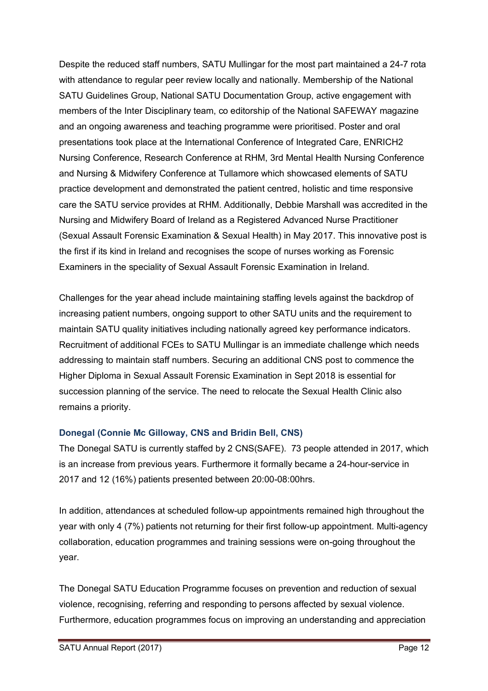Despite the reduced staff numbers, SATU Mullingar for the most part maintained a 24-7 rota with attendance to regular peer review locally and nationally. Membership of the National SATU Guidelines Group, National SATU Documentation Group, active engagement with members of the Inter Disciplinary team, co editorship of the National SAFEWAY magazine and an ongoing awareness and teaching programme were prioritised. Poster and oral presentations took place at the International Conference of Integrated Care, ENRICH2 Nursing Conference, Research Conference at RHM, 3rd Mental Health Nursing Conference and Nursing & Midwifery Conference at Tullamore which showcased elements of SATU practice development and demonstrated the patient centred, holistic and time responsive care the SATU service provides at RHM. Additionally, Debbie Marshall was accredited in the Nursing and Midwifery Board of Ireland as a Registered Advanced Nurse Practitioner (Sexual Assault Forensic Examination & Sexual Health) in May 2017. This innovative post is the first if its kind in Ireland and recognises the scope of nurses working as Forensic Examiners in the speciality of Sexual Assault Forensic Examination in Ireland.

Challenges for the year ahead include maintaining staffing levels against the backdrop of increasing patient numbers, ongoing support to other SATU units and the requirement to maintain SATU quality initiatives including nationally agreed key performance indicators. Recruitment of additional FCEs to SATU Mullingar is an immediate challenge which needs addressing to maintain staff numbers. Securing an additional CNS post to commence the Higher Diploma in Sexual Assault Forensic Examination in Sept 2018 is essential for succession planning of the service. The need to relocate the Sexual Health Clinic also remains a priority.

#### **Donegal (Connie Mc Gilloway, CNS and Bridin Bell, CNS)**

The Donegal SATU is currently staffed by 2 CNS(SAFE). 73 people attended in 2017, which is an increase from previous years. Furthermore it formally became a 24-hour-service in 2017 and 12 (16%) patients presented between 20:00-08:00hrs.

In addition, attendances at scheduled follow-up appointments remained high throughout the year with only 4 (7%) patients not returning for their first follow-up appointment. Multi-agency collaboration, education programmes and training sessions were on-going throughout the year.

The Donegal SATU Education Programme focuses on prevention and reduction of sexual violence, recognising, referring and responding to persons affected by sexual violence. Furthermore, education programmes focus on improving an understanding and appreciation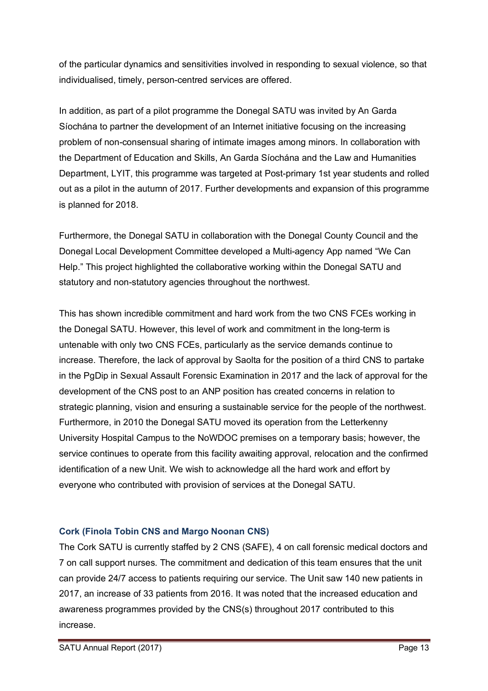of the particular dynamics and sensitivities involved in responding to sexual violence, so that individualised, timely, person-centred services are offered.

In addition, as part of a pilot programme the Donegal SATU was invited by An Garda Síochána to partner the development of an Internet initiative focusing on the increasing problem of non-consensual sharing of intimate images among minors. In collaboration with the Department of Education and Skills, An Garda Síochána and the Law and Humanities Department, LYIT, this programme was targeted at Post-primary 1st year students and rolled out as a pilot in the autumn of 2017. Further developments and expansion of this programme is planned for 2018.

Furthermore, the Donegal SATU in collaboration with the Donegal County Council and the Donegal Local Development Committee developed a Multi-agency App named "We Can Help." This project highlighted the collaborative working within the Donegal SATU and statutory and non-statutory agencies throughout the northwest.

This has shown incredible commitment and hard work from the two CNS FCEs working in the Donegal SATU. However, this level of work and commitment in the long-term is untenable with only two CNS FCEs, particularly as the service demands continue to increase. Therefore, the lack of approval by Saolta for the position of a third CNS to partake in the PgDip in Sexual Assault Forensic Examination in 2017 and the lack of approval for the development of the CNS post to an ANP position has created concerns in relation to strategic planning, vision and ensuring a sustainable service for the people of the northwest. Furthermore, in 2010 the Donegal SATU moved its operation from the Letterkenny University Hospital Campus to the NoWDOC premises on a temporary basis; however, the service continues to operate from this facility awaiting approval, relocation and the confirmed identification of a new Unit. We wish to acknowledge all the hard work and effort by everyone who contributed with provision of services at the Donegal SATU.

#### **Cork (Finola Tobin CNS and Margo Noonan CNS)**

The Cork SATU is currently staffed by 2 CNS (SAFE), 4 on call forensic medical doctors and 7 on call support nurses. The commitment and dedication of this team ensures that the unit can provide 24/7 access to patients requiring our service. The Unit saw 140 new patients in 2017, an increase of 33 patients from 2016. It was noted that the increased education and awareness programmes provided by the CNS(s) throughout 2017 contributed to this increase.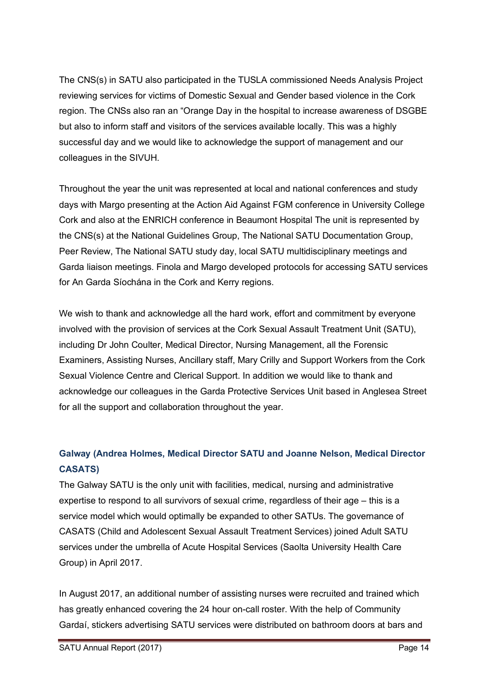The CNS(s) in SATU also participated in the TUSLA commissioned Needs Analysis Project reviewing services for victims of Domestic Sexual and Gender based violence in the Cork region. The CNSs also ran an "Orange Day in the hospital to increase awareness of DSGBE but also to inform staff and visitors of the services available locally. This was a highly successful day and we would like to acknowledge the support of management and our colleagues in the SIVUH.

Throughout the year the unit was represented at local and national conferences and study days with Margo presenting at the Action Aid Against FGM conference in University College Cork and also at the ENRICH conference in Beaumont Hospital The unit is represented by the CNS(s) at the National Guidelines Group, The National SATU Documentation Group, Peer Review, The National SATU study day, local SATU multidisciplinary meetings and Garda liaison meetings. Finola and Margo developed protocols for accessing SATU services for An Garda Síochána in the Cork and Kerry regions.

We wish to thank and acknowledge all the hard work, effort and commitment by everyone involved with the provision of services at the Cork Sexual Assault Treatment Unit (SATU), including Dr John Coulter, Medical Director, Nursing Management, all the Forensic Examiners, Assisting Nurses, Ancillary staff, Mary Crilly and Support Workers from the Cork Sexual Violence Centre and Clerical Support. In addition we would like to thank and acknowledge our colleagues in the Garda Protective Services Unit based in Anglesea Street for all the support and collaboration throughout the year.

### **Galway (Andrea Holmes, Medical Director SATU and Joanne Nelson, Medical Director CASATS)**

The Galway SATU is the only unit with facilities, medical, nursing and administrative expertise to respond to all survivors of sexual crime, regardless of their age – this is a service model which would optimally be expanded to other SATUs. The governance of CASATS (Child and Adolescent Sexual Assault Treatment Services) joined Adult SATU services under the umbrella of Acute Hospital Services (Saolta University Health Care Group) in April 2017.

In August 2017, an additional number of assisting nurses were recruited and trained which has greatly enhanced covering the 24 hour on-call roster. With the help of Community Gardaí, stickers advertising SATU services were distributed on bathroom doors at bars and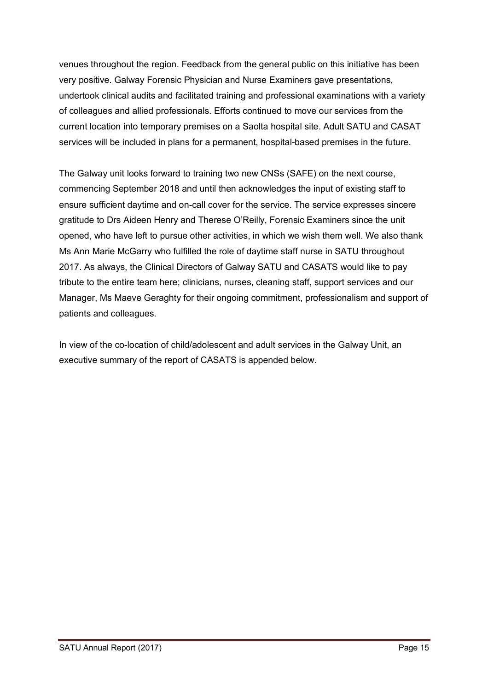venues throughout the region. Feedback from the general public on this initiative has been very positive. Galway Forensic Physician and Nurse Examiners gave presentations, undertook clinical audits and facilitated training and professional examinations with a variety of colleagues and allied professionals. Efforts continued to move our services from the current location into temporary premises on a Saolta hospital site. Adult SATU and CASAT services will be included in plans for a permanent, hospital-based premises in the future.

The Galway unit looks forward to training two new CNSs (SAFE) on the next course, commencing September 2018 and until then acknowledges the input of existing staff to ensure sufficient daytime and on-call cover for the service. The service expresses sincere gratitude to Drs Aideen Henry and Therese O'Reilly, Forensic Examiners since the unit opened, who have left to pursue other activities, in which we wish them well. We also thank Ms Ann Marie McGarry who fulfilled the role of daytime staff nurse in SATU throughout 2017. As always, the Clinical Directors of Galway SATU and CASATS would like to pay tribute to the entire team here; clinicians, nurses, cleaning staff, support services and our Manager, Ms Maeve Geraghty for their ongoing commitment, professionalism and support of patients and colleagues.

In view of the co-location of child/adolescent and adult services in the Galway Unit, an executive summary of the report of CASATS is appended below.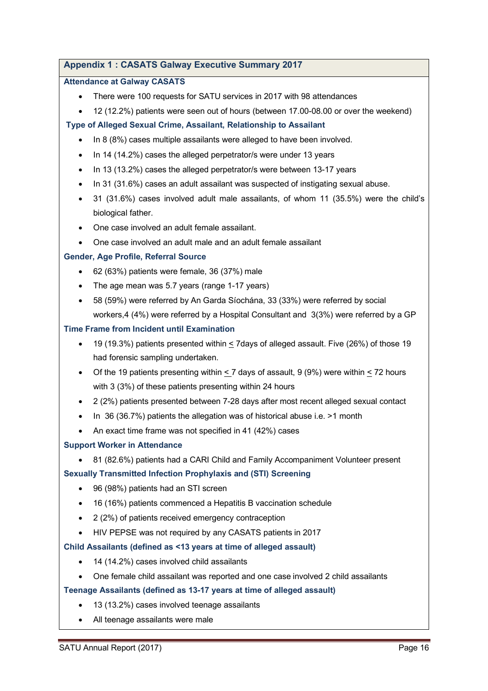#### **Appendix 1 : CASATS Galway Executive Summary 2017**

#### **Attendance at Galway CASATS**

- There were 100 requests for SATU services in 2017 with 98 attendances
- 12 (12.2%) patients were seen out of hours (between 17.00-08.00 or over the weekend)

#### **Type of Alleged Sexual Crime, Assailant, Relationship to Assailant**

- In 8 (8%) cases multiple assailants were alleged to have been involved.
- In 14 (14.2%) cases the alleged perpetrator/s were under 13 years
- In 13 (13.2%) cases the alleged perpetrator/s were between 13-17 years
- In 31 (31.6%) cases an adult assailant was suspected of instigating sexual abuse.
- 31 (31.6%) cases involved adult male assailants, of whom 11 (35.5%) were the child's biological father.
- One case involved an adult female assailant.
- One case involved an adult male and an adult female assailant

#### **Gender, Age Profile, Referral Source**

- 62 (63%) patients were female, 36 (37%) male
- The age mean was 5.7 years (range 1-17 years)
- 58 (59%) were referred by An Garda Síochána, 33 (33%) were referred by social workers,4 (4%) were referred by a Hospital Consultant and 3(3%) were referred by a GP

#### **Time Frame from Incident until Examination**

- 19 (19.3%) patients presented within < 7days of alleged assault. Five (26%) of those 19 had forensic sampling undertaken.
- Of the 19 patients presenting within < 7 days of assault, 9 (9%) were within < 72 hours with 3 (3%) of these patients presenting within 24 hours
- 2 (2%) patients presented between 7-28 days after most recent alleged sexual contact
- In 36 (36.7%) patients the allegation was of historical abuse i.e. >1 month
- An exact time frame was not specified in 41 (42%) cases

#### **Support Worker in Attendance**

• 81 (82.6%) patients had a CARI Child and Family Accompaniment Volunteer present

#### **Sexually Transmitted Infection Prophylaxis and (STI) Screening**

- 96 (98%) patients had an STI screen
- 16 (16%) patients commenced a Hepatitis B vaccination schedule
- 2 (2%) of patients received emergency contraception
- HIV PEPSE was not required by any CASATS patients in 2017

#### **Child Assailants (defined as <13 years at time of alleged assault)**

- 14 (14.2%) cases involved child assailants
- One female child assailant was reported and one case involved 2 child assailants

#### **Teenage Assailants (defined as 13-17 years at time of alleged assault)**

- 13 (13.2%) cases involved teenage assailants
- All teenage assailants were male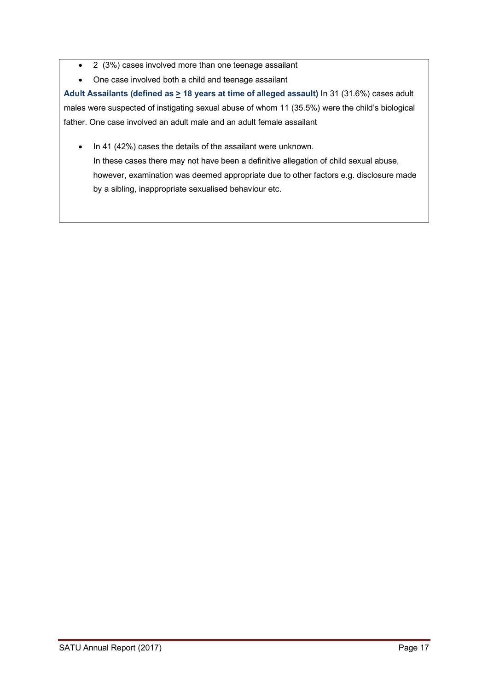- 2 (3%) cases involved more than one teenage assailant
- One case involved both a child and teenage assailant

**Adult Assailants (defined as > 18 years at time of alleged assault)** In 31 (31.6%) cases adult males were suspected of instigating sexual abuse of whom 11 (35.5%) were the child's biological father. One case involved an adult male and an adult female assailant

• In 41 (42%) cases the details of the assailant were unknown. In these cases there may not have been a definitive allegation of child sexual abuse, however, examination was deemed appropriate due to other factors e.g. disclosure made by a sibling, inappropriate sexualised behaviour etc.